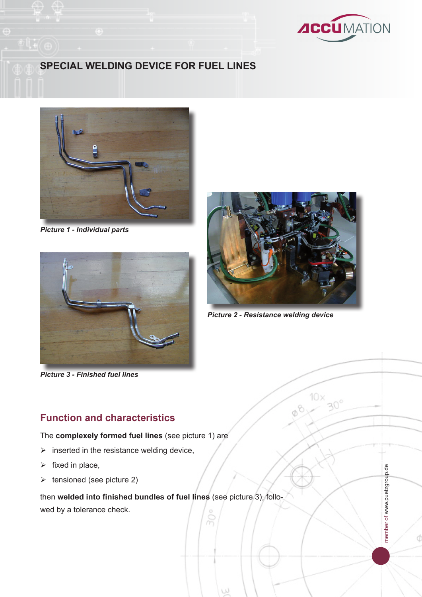

member of www.puetzgroup.de

member of www.puetzgroup.de

## **Special Welding device for fuel lines**



*Picture 1 - Individual parts*



*Picture 3 - Finished fuel lines*

#### **Function and characteristics**

The **complexely formed fuel lines** (see picture 1) are

- $\triangleright$  inserted in the resistance welding device,
- $\triangleright$  fixed in place,
- $\triangleright$  tensioned (see picture 2)

then **welded into finished bundles of fuel lines** (see picture 3), followed by a tolerance check.

W



*Picture 2 - Resistance welding device*

10×